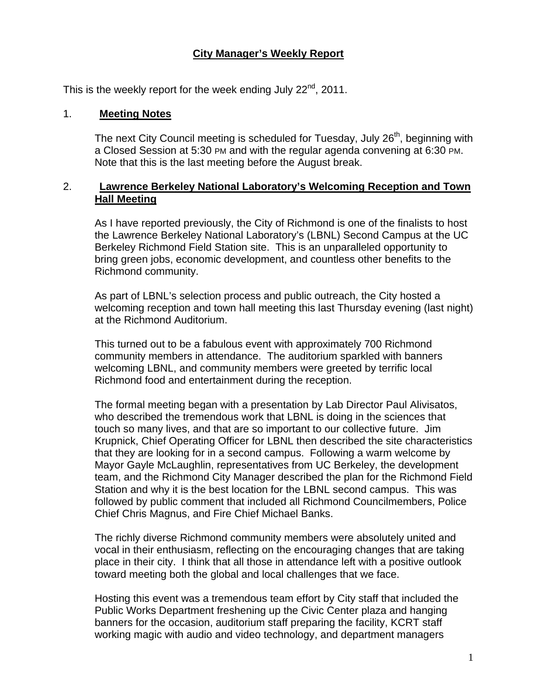## **City Manager's Weekly Report**

This is the weekly report for the week ending July  $22^{nd}$ , 2011.

#### 1. **Meeting Notes**

The next City Council meeting is scheduled for Tuesday, July 26<sup>th</sup>, beginning with a Closed Session at 5:30 PM and with the regular agenda convening at 6:30 PM. Note that this is the last meeting before the August break.

### 2. **Lawrence Berkeley National Laboratory's Welcoming Reception and Town Hall Meeting**

As I have reported previously, the City of Richmond is one of the finalists to host the Lawrence Berkeley National Laboratory's (LBNL) Second Campus at the UC Berkeley Richmond Field Station site. This is an unparalleled opportunity to bring green jobs, economic development, and countless other benefits to the Richmond community.

As part of LBNL's selection process and public outreach, the City hosted a welcoming reception and town hall meeting this last Thursday evening (last night) at the Richmond Auditorium.

This turned out to be a fabulous event with approximately 700 Richmond community members in attendance. The auditorium sparkled with banners welcoming LBNL, and community members were greeted by terrific local Richmond food and entertainment during the reception.

The formal meeting began with a presentation by Lab Director Paul Alivisatos, who described the tremendous work that LBNL is doing in the sciences that touch so many lives, and that are so important to our collective future. Jim Krupnick, Chief Operating Officer for LBNL then described the site characteristics that they are looking for in a second campus. Following a warm welcome by Mayor Gayle McLaughlin, representatives from UC Berkeley, the development team, and the Richmond City Manager described the plan for the Richmond Field Station and why it is the best location for the LBNL second campus. This was followed by public comment that included all Richmond Councilmembers, Police Chief Chris Magnus, and Fire Chief Michael Banks.

The richly diverse Richmond community members were absolutely united and vocal in their enthusiasm, reflecting on the encouraging changes that are taking place in their city. I think that all those in attendance left with a positive outlook toward meeting both the global and local challenges that we face.

Hosting this event was a tremendous team effort by City staff that included the Public Works Department freshening up the Civic Center plaza and hanging banners for the occasion, auditorium staff preparing the facility, KCRT staff working magic with audio and video technology, and department managers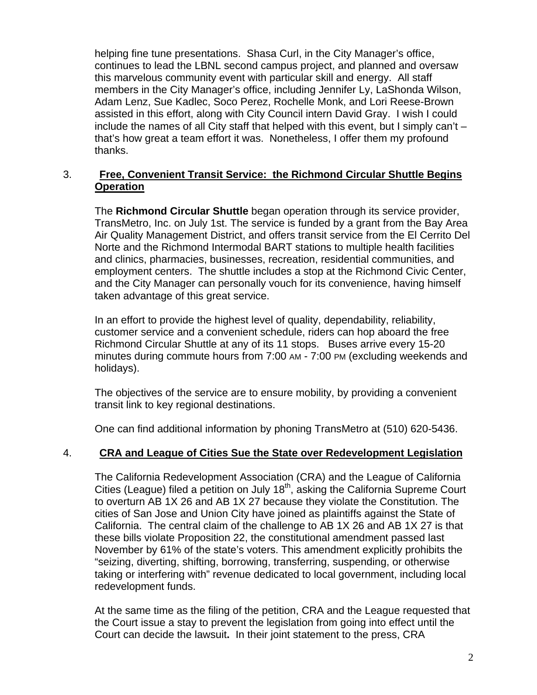helping fine tune presentations. Shasa Curl, in the City Manager's office, continues to lead the LBNL second campus project, and planned and oversaw this marvelous community event with particular skill and energy. All staff members in the City Manager's office, including Jennifer Ly, LaShonda Wilson, Adam Lenz, Sue Kadlec, Soco Perez, Rochelle Monk, and Lori Reese-Brown assisted in this effort, along with City Council intern David Gray. I wish I could include the names of all City staff that helped with this event, but I simply can't – that's how great a team effort it was. Nonetheless, I offer them my profound thanks.

### 3. **Free, Convenient Transit Service: the Richmond Circular Shuttle Begins Operation**

The **Richmond Circular Shuttle** began operation through its service provider, TransMetro, Inc. on July 1st. The service is funded by a grant from the Bay Area Air Quality Management District, and offers transit service from the El Cerrito Del Norte and the Richmond Intermodal BART stations to multiple health facilities and clinics, pharmacies, businesses, recreation, residential communities, and employment centers. The shuttle includes a stop at the Richmond Civic Center, and the City Manager can personally vouch for its convenience, having himself taken advantage of this great service.

In an effort to provide the highest level of quality, dependability, reliability, customer service and a convenient schedule, riders can hop aboard the free Richmond Circular Shuttle at any of its 11 stops. Buses arrive every 15-20 minutes during commute hours from 7:00 AM - 7:00 PM (excluding weekends and holidays).

The objectives of the service are to ensure mobility, by providing a convenient transit link to key regional destinations.

One can find additional information by phoning TransMetro at (510) 620-5436.

## 4. **CRA and League of Cities Sue the State over Redevelopment Legislation**

The California Redevelopment Association (CRA) and the League of California Cities (League) filed a petition on July  $18<sup>th</sup>$ , asking the California Supreme Court to overturn AB 1X 26 and AB 1X 27 because they violate the Constitution. The cities of San Jose and Union City have joined as plaintiffs against the State of California. The central claim of the challenge to AB 1X 26 and AB 1X 27 is that these bills violate Proposition 22, the constitutional amendment passed last November by 61% of the state's voters. This amendment explicitly prohibits the "seizing, diverting, shifting, borrowing, transferring, suspending, or otherwise taking or interfering with" revenue dedicated to local government, including local redevelopment funds.

At the same time as the filing of the petition, CRA and the League requested that the Court issue a stay to prevent the legislation from going into effect until the Court can decide the lawsuit**.** In their joint statement to the press, CRA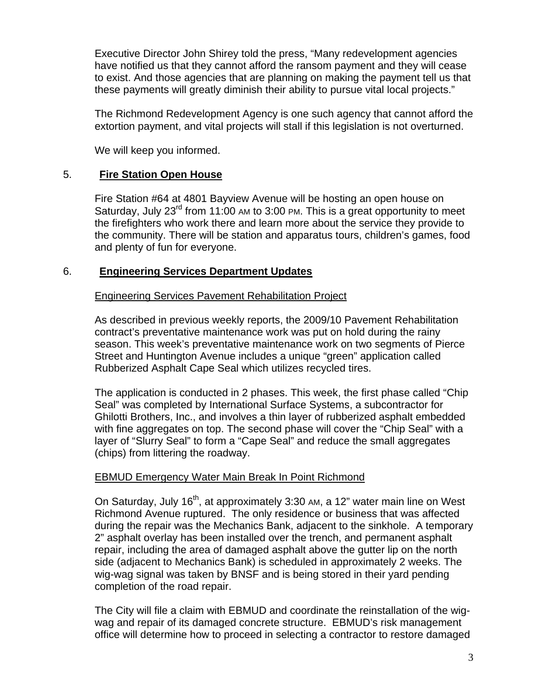Executive Director John Shirey told the press, "Many redevelopment agencies have notified us that they cannot afford the ransom payment and they will cease to exist. And those agencies that are planning on making the payment tell us that these payments will greatly diminish their ability to pursue vital local projects."

The Richmond Redevelopment Agency is one such agency that cannot afford the extortion payment, and vital projects will stall if this legislation is not overturned.

We will keep you informed.

### 5. **Fire Station Open House**

Fire Station #64 at 4801 Bayview Avenue will be hosting an open house on Saturday, July  $23^{\text{rd}}$  from 11:00 AM to 3:00 PM. This is a great opportunity to meet the firefighters who work there and learn more about the service they provide to the community. There will be station and apparatus tours, children's games, food and plenty of fun for everyone.

#### 6. **Engineering Services Department Updates**

#### Engineering Services Pavement Rehabilitation Project

As described in previous weekly reports, the 2009/10 Pavement Rehabilitation contract's preventative maintenance work was put on hold during the rainy season. This week's preventative maintenance work on two segments of Pierce Street and Huntington Avenue includes a unique "green" application called Rubberized Asphalt Cape Seal which utilizes recycled tires.

The application is conducted in 2 phases. This week, the first phase called "Chip Seal" was completed by International Surface Systems, a subcontractor for Ghilotti Brothers, Inc., and involves a thin layer of rubberized asphalt embedded with fine aggregates on top. The second phase will cover the "Chip Seal" with a layer of "Slurry Seal" to form a "Cape Seal" and reduce the small aggregates (chips) from littering the roadway.

### **EBMUD Emergency Water Main Break In Point Richmond**

On Saturday, July 16<sup>th</sup>, at approximately 3:30 AM, a 12" water main line on West Richmond Avenue ruptured. The only residence or business that was affected during the repair was the Mechanics Bank, adjacent to the sinkhole. A temporary 2" asphalt overlay has been installed over the trench, and permanent asphalt repair, including the area of damaged asphalt above the gutter lip on the north side (adjacent to Mechanics Bank) is scheduled in approximately 2 weeks. The wig-wag signal was taken by BNSF and is being stored in their yard pending completion of the road repair.

The City will file a claim with EBMUD and coordinate the reinstallation of the wigwag and repair of its damaged concrete structure. EBMUD's risk management office will determine how to proceed in selecting a contractor to restore damaged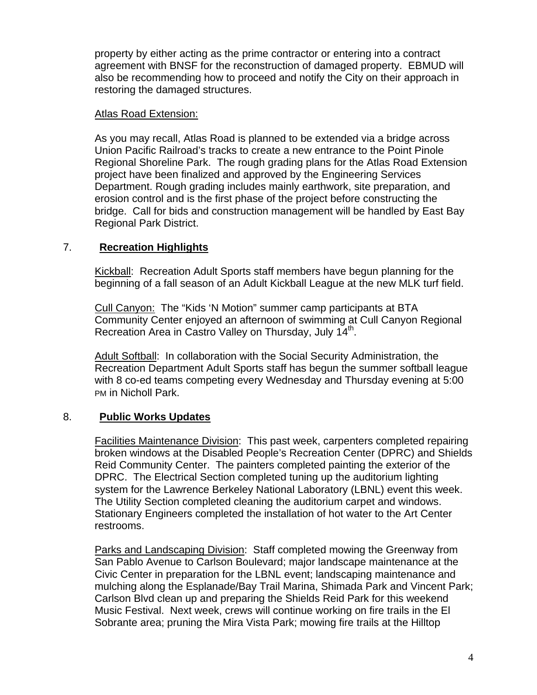property by either acting as the prime contractor or entering into a contract agreement with BNSF for the reconstruction of damaged property. EBMUD will also be recommending how to proceed and notify the City on their approach in restoring the damaged structures.

#### Atlas Road Extension:

As you may recall, Atlas Road is planned to be extended via a bridge across Union Pacific Railroad's tracks to create a new entrance to the Point Pinole Regional Shoreline Park. The rough grading plans for the Atlas Road Extension project have been finalized and approved by the Engineering Services Department. Rough grading includes mainly earthwork, site preparation, and erosion control and is the first phase of the project before constructing the bridge. Call for bids and construction management will be handled by East Bay Regional Park District.

## 7. **Recreation Highlights**

Kickball: Recreation Adult Sports staff members have begun planning for the beginning of a fall season of an Adult Kickball League at the new MLK turf field.

Cull Canyon: The "Kids 'N Motion" summer camp participants at BTA Community Center enjoyed an afternoon of swimming at Cull Canyon Regional Recreation Area in Castro Valley on Thursday, July  $14^{\text{m}}$ .

Adult Softball: In collaboration with the Social Security Administration, the Recreation Department Adult Sports staff has begun the summer softball league with 8 co-ed teams competing every Wednesday and Thursday evening at 5:00 PM in Nicholl Park.

## 8. **Public Works Updates**

Facilities Maintenance Division: This past week, carpenters completed repairing broken windows at the Disabled People's Recreation Center (DPRC) and Shields Reid Community Center. The painters completed painting the exterior of the DPRC. The Electrical Section completed tuning up the auditorium lighting system for the Lawrence Berkeley National Laboratory (LBNL) event this week. The Utility Section completed cleaning the auditorium carpet and windows. Stationary Engineers completed the installation of hot water to the Art Center restrooms.

Parks and Landscaping Division: Staff completed mowing the Greenway from San Pablo Avenue to Carlson Boulevard; major landscape maintenance at the Civic Center in preparation for the LBNL event; landscaping maintenance and mulching along the Esplanade/Bay Trail Marina, Shimada Park and Vincent Park; Carlson Blvd clean up and preparing the Shields Reid Park for this weekend Music Festival. Next week, crews will continue working on fire trails in the El Sobrante area; pruning the Mira Vista Park; mowing fire trails at the Hilltop